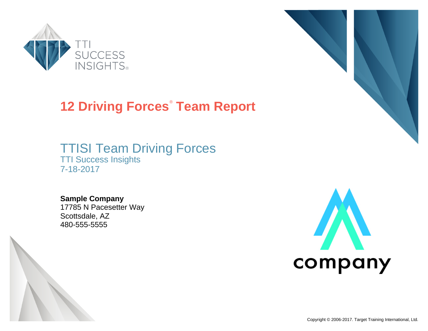

# **12 Driving Forces**®  **Team Report**

# TTISI Team Driving Forces TTI Success Insights 7-18-2017



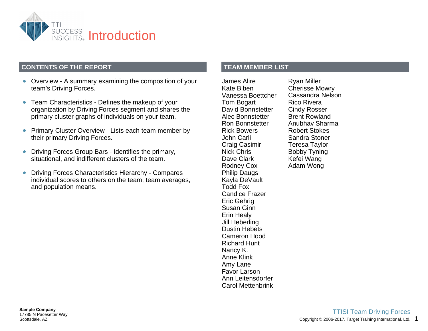

### **CONTENTS OF THE REPORT**

- Overview A summary examining the composition of your team's Driving Forces.
- Team Characteristics Defines the makeup of your organization by Driving Forces segment and shares the primary cluster graphs of individuals on your team.
- Primary Cluster Overview Lists each team member by  $\bullet$ their primary Driving Forces.
- Driving Forces Group Bars Identifies the primary,  $\bullet$ situational, and indifferent clusters of the team.
- Driving Forces Characteristics Hierarchy Compares  $\bullet$ individual scores to others on the team, team averages, and population means.

**TEAM MEMBER LIST**

James Alire Kate Biben Vanessa Boettcher Tom Bogart David Bonnstetter Alec Bonnstetter Ron Bonnstetter Rick Bowers John Carli Craig Casimir Nick Chris Dave Clark Rodney Cox Philip Daugs Kayla DeVault Todd Fox Candice Frazer Eric Gehrig Susan Ginn Erin Healy Jill Heberling Dustin Hebets Cameron Hood Richard Hunt Nancy K. Anne Klink Amy Lane Favor Larson Ann Leitensdorfer Carol Mettenbrink

Ryan Miller Cherisse Mowry Cassandra Nelson Rico Rivera Cindy Rosser Brent Rowland Anubhav Sharma Robert Stokes Sandra Stoner Teresa Taylor Bobby Tyning Kefei Wang Adam Wong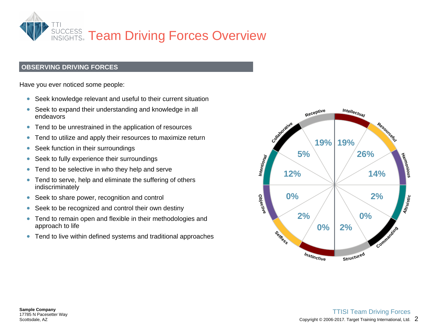

### **OBSERVING DRIVING FORCES**

Have you ever noticed some people:

- Seek knowledge relevant and useful to their current situation
- Seek to expand their understanding and knowledge in all  $\bullet$ endeavors
- Tend to be unrestrained in the application of resources  $\bullet$
- Tend to utilize and apply their resources to maximize return  $\bullet$
- Seek function in their surroundings  $\bullet$
- Seek to fully experience their surroundings
- Tend to be selective in who they help and serve  $\bullet$
- Tend to serve, help and eliminate the suffering of others  $\bullet$ indiscriminately
- Seek to share power, recognition and control  $\bullet$
- Seek to be recognized and control their own destiny  $\bullet$
- Tend to remain open and flexible in their methodologies and  $\bullet$ approach to life
- Tend to live within defined systems and traditional approaches

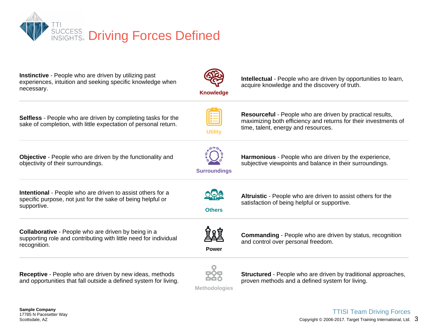

**Instinctive** - People who are driven by utilizing past memented in experiments and since by allem by past.<br>experiences, intuition and seeking specific knowledge when necessary.

**Knowledge**

**Intellectual** - People who are driven by opportunities to learn, acquire knowledge and the discovery of truth.

**Resourceful** - People who are driven by practical results,<br>maximizing both efficiency and returns for their investments of maximizing both efficiency and returns for their investments of

**Selfless** - People who are driven by completing tasks for the sake of completion, with little expectation of personal return.

**Objective** - People who are driven by the functionality and objectivity of their surroundings.



**Utility**

**Harmonious** - People who are driven by the experience, subjective viewpoints and balance in their surroundings.

time, talent, energy and resources.

**Intentional** - People who are driven to assist others for a<br>specific purpose, not just for the sake of being belpful or specific purpose, not just for the sake of being helpful or supportive.

**Collaborative** - People who are driven by being in a<br>supporting role and contributing with little need for individual supporting role and contributing with little need for individual recognition.

**Receptive** - People who are driven by new ideas, methods and opportunities that fall outside a defined system for living.



**Others**

**Altruistic** - People who are driven to assist others for the satisfaction of being helpful or supportive.



**Power**

**Commanding** - People who are driven by status, recognition and control over personal freedom.



**Structured** - People who are driven by traditional approaches, proven methods and a defined system for living.

**Methodologies**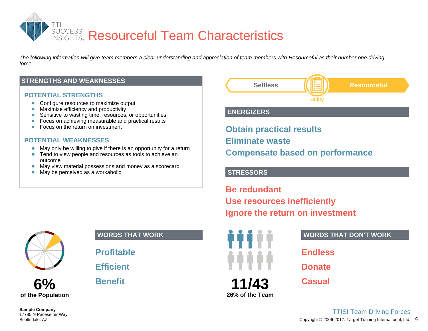

*The following information will give team members a clear understanding and appreciation of team members with Resourceful as their number one driving force.*

### **STRENGTHS AND WEAKNESSES**

### **POTENTIAL STRENGTHS**

- Configure resources to maximize output
- Maximize efficiency and productivity
- Sensitive to wasting time, resources, or opportunities  $\bullet$
- Focus on achieving measurable and practical results  $\bullet$
- Focus on the return on investment  $\bullet$

### **POTENTIAL WEAKNESSES**

- May only be willing to give if there is an opportunity for a return
- Tend to view people and resources as tools to achieve an  $\bullet$ outcome
- May view material possessions and money as a scorecard
- $\bullet$ May be perceived as a workaholic



# **6% of the Population**

### **WORDS THAT WORK**

**Profitable**

**Efficient**

**Benefit**



### **ENERGIZERS**

**Obtain practical results Eliminate waste Compensate based on performance**

### **STRESSORS**

**Be redundant Use resources inefficiently Ignore the return on investment**



### **WORDS THAT DON'T WORK**

**Endless**

**Donate**

**Casual**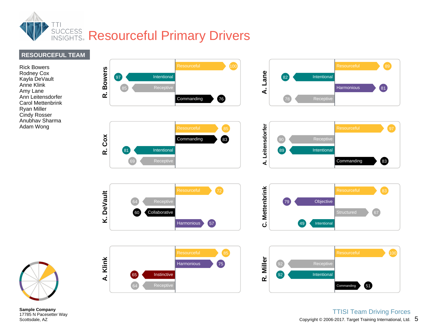

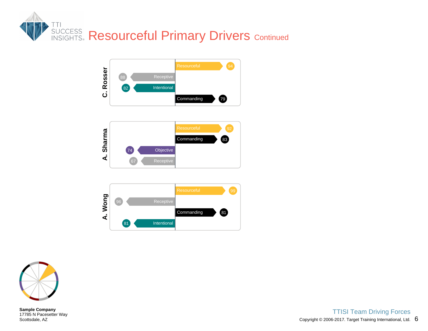



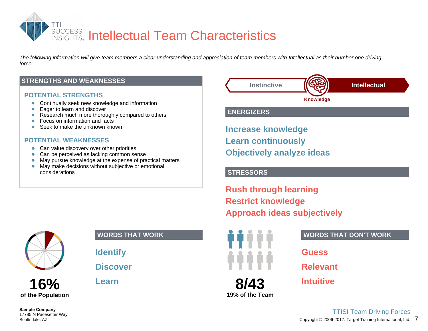

*The following information will give team members a clear understanding and appreciation of team members with Intellectual as their number one driving force.*

### **STRENGTHS AND WEAKNESSES**

### **POTENTIAL STRENGTHS**

- **•** Continually seek new knowledge and information
- Eager to learn and discover  $\bullet$
- Research much more thoroughly compared to others  $\bullet$
- $\bullet$ Focus on information and facts
- $\bullet$ Seek to make the unknown known

### **POTENTIAL WEAKNESSES**

- Can value discovery over other priorities
- Can be perceived as lacking common sense  $\bullet$
- May pursue knowledge at the expense of practical matters  $\bullet$
- May make decisions without subjective or emotional  $\bullet$ considerations



**16% of the Population**

### **WORDS THAT WORK**

**Identify**

# **Discover**

**Learn**



### **ENERGIZERS**

**Increase knowledge Learn continuously Objectively analyze ideas**

### **STRESSORS**

**Rush through learning Restrict knowledge Approach ideas subjectively**



**19% of the Team**

**Intuitive**

**Relevant**

**Guess**

7 Copyright © 2006-2017. Target Training International, Ltd. TTISI Team Driving Forces

**WORDS THAT DON'T WORK**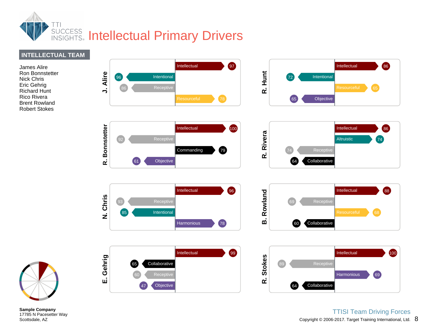



Ron Bonnstetter Nick Chris Eric Gehrig Richard Hunt Rico Rivera Brent Rowland Robert Stokes

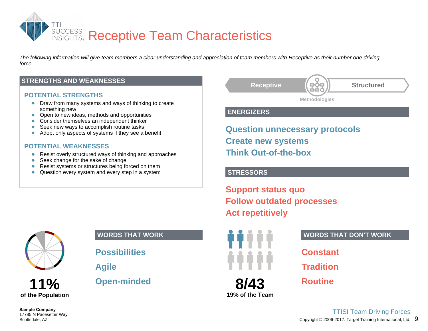

*The following information will give team members a clear understanding and appreciation of team members with Receptive as their number one driving force.*

### **STRENGTHS AND WEAKNESSES**

### **POTENTIAL STRENGTHS**

- **•** Draw from many systems and ways of thinking to create something new
- Open to new ideas, methods and opportunities  $\bullet$
- $\bullet$ Consider themselves an independent thinker
- Seek new ways to accomplish routine tasks  $\bullet$
- Adopt only aspects of systems if they see a benefit  $\bullet$

### **POTENTIAL WEAKNESSES**

- Resist overly structured ways of thinking and approaches  $\bullet$
- Seek change for the sake of change  $\bullet$
- Resist systems or structures being forced on them  $\bullet$
- $\bullet$ Question every system and every step in a system



# **11% of the Population**

**WORDS THAT WORK**

**Possibilities**

**Agile**

# **Open-minded**



### **ENERGIZERS**

**Question unnecessary protocols Create new systems Think Out-of-the-box**

### **STRESSORS**

**Support status quo Follow outdated processes Act repetitively**



**8/43 19% of the Team**

### **WORDS THAT DON'T WORK**

**Constant**

**Tradition**

**Routine**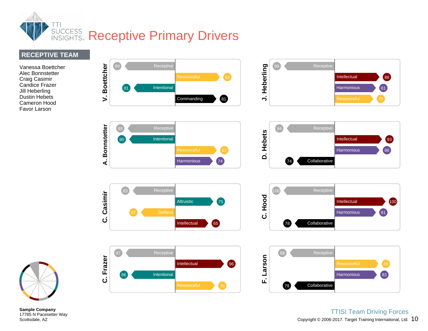

### **RECEPTIVE TEAM**

Vanessa Boettcher Alec Bonnstetter Craig Casimir Candice Frazer Jill Heberling Dustin Hebets Cameron Hood Favor Larson



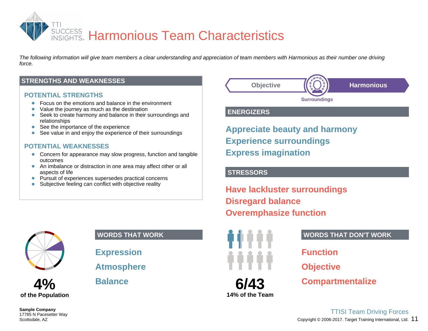

*The following information will give team members a clear understanding and appreciation of team members with Harmonious as their number one driving force.*

### **STRENGTHS AND WEAKNESSES**

### **POTENTIAL STRENGTHS**

- Focus on the emotions and balance in the environment
- Value the journey as much as the destination
- Seek to create harmony and balance in their surroundings and  $\bullet$ relationships
- See the importance of the experience  $\bullet$
- See value in and enjoy the experience of their surroundings  $\bullet$

### **POTENTIAL WEAKNESSES**

- Concern for appearance may slow progress, function and tangible outcomes
- An imbalance or distraction in one area may affect other or all aspects of life
- Pursuit of experiences supersedes practical concerns
- Subjective feeling can conflict with objective reality



# **4% of the Population**

### **WORDS THAT WORK**

**Expression**

**Atmosphere**

**Balance**



### **ENERGIZERS**

**Appreciate beauty and harmony Experience surroundings Express imagination**

### **STRESSORS**

**Have lackluster surroundings Disregard balance Overemphasize function**



**6/43 14% of the Team**

### **WORDS THAT DON'T WORK**

**Function**

**Objective**

**Compartmentalize**

Copyright  $@$  2006-2017. Target Training International, Ltd.  $~11$ TTISI Team Driving Forces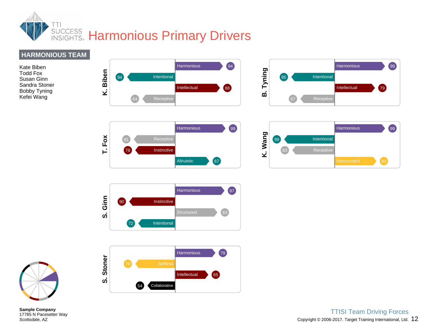

# **HARMONIOUS TEAM**

Kate Biben Todd Fox Susan Ginn Sandra Stoner Bobby Tyning Kefei Wang













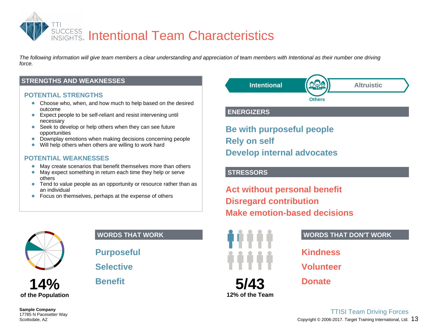

*The following information will give team members a clear understanding and appreciation of team members with Intentional as their number one driving force.*

### **STRENGTHS AND WEAKNESSES**

### **POTENTIAL STRENGTHS**

- Choose who, when, and how much to help based on the desired outcome
- Expect people to be self-reliant and resist intervening until necessary
- Seek to develop or help others when they can see future opportunities
- Downplay emotions when making decisions concerning people
- Will help others when others are willing to work hard  $\bullet$

### **POTENTIAL WEAKNESSES**

- May create scenarios that benefit themselves more than others
- May expect something in return each time they help or serve  $\bullet$ others
- Tend to value people as an opportunity or resource rather than as an individual
- **•** Focus on themselves, perhaps at the expense of others



# **14% of the Population**

**WORDS THAT WORK**

**Purposeful**

**Selective**

**Benefit**



### **ENERGIZERS**

**Be with purposeful people Rely on self Develop internal advocates**

### **STRESSORS**

**Act without personal benefit Disregard contribution Make emotion-based decisions**



**12% of the Team**

### **WORDS THAT DON'T WORK**

**Kindness**

**Volunteer**

**Donate**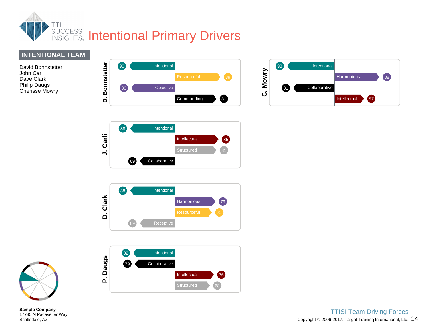

# **INTENTIONAL TEAM**

David Bonnstetter John Carli Dave Clark Philip Daugs Cherisse Mowry











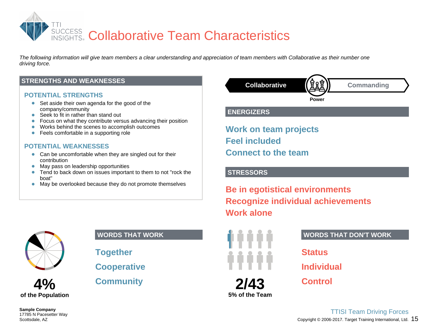

*The following information will give team members a clear understanding and appreciation of team members with Collaborative as their number one driving force.*

### **STRENGTHS AND WEAKNESSES**

### **POTENTIAL STRENGTHS**

- Set aside their own agenda for the good of the company/community
- Seek to fit in rather than stand out  $\bullet$
- **•** Focus on what they contribute versus advancing their position
- Works behind the scenes to accomplish outcomes
- Feels comfortable in a supporting role  $\bullet$

### **POTENTIAL WEAKNESSES**

- Can be uncomfortable when they are singled out for their contribution
- May pass on leadership opportunities
- Tend to back down on issues important to them to not "rock the  $\bullet$ boat"
- May be overlooked because they do not promote themselves  $\bullet$



# **4% of the Population**

**Sample Company** 17785 N Pacesetter Way Scottsdale, AZ

### **WORDS THAT WORK**

**Together**

**Cooperative**

**Community**



### **ENERGIZERS**

**Work on team projects Feel included Connect to the team**

### **STRESSORS**

**Be in egotistical environments Recognize individual achievements Work alone**



**5% of the Team**

### **WORDS THAT DON'T WORK**

**Status**

**Individual**

**Control**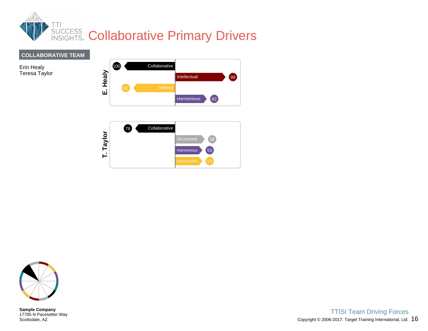

# **COLLABORATIVE TEAM**

Erin Healy Teresa Taylor



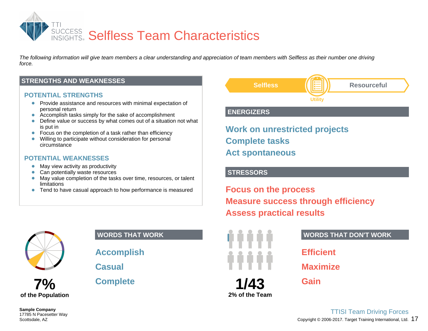

*The following information will give team members a clear understanding and appreciation of team members with Selfless as their number one driving force.*

### **STRENGTHS AND WEAKNESSES**

### **POTENTIAL STRENGTHS**

- Provide assistance and resources with minimal expectation of personal return
- Accomplish tasks simply for the sake of accomplishment  $\bullet$
- Define value or success by what comes out of a situation not what  $\bullet$ is put in
- $\bullet$ Focus on the completion of a task rather than efficiency
- Willing to participate without consideration for personal  $\bullet$ circumstance

### **POTENTIAL WEAKNESSES**

- May view activity as productivity
- $\bullet$ Can potentially waste resources
- May value completion of the tasks over time, resources, or talent  $\bullet$ limitations
- Tend to have casual approach to how performance is measured  $\bullet$



# **7% of the Population**

**Sample Company** 17785 N Pacesetter Way Scottsdale, AZ

### **WORDS THAT WORK**

**Accomplish**

**Casual**

**Complete**



### **ENERGIZERS**

**Work on unrestricted projects Complete tasks Act spontaneous**

### **STRESSORS**

**Focus on the process Measure success through efficiency Assess practical results**



**2% of the Team**

### **WORDS THAT DON'T WORK**

**Efficient Maximize**

**Gain**

Copyright  $@$  2006-2017. Target Training International, Ltd.  $17$ TTISI Team Driving Forces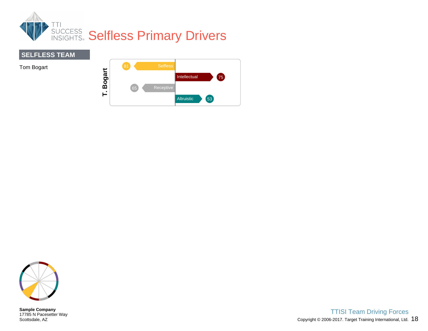



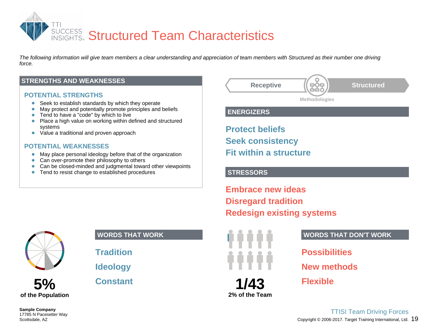

*The following information will give team members a clear understanding and appreciation of team members with Structured as their number one driving force.*

### **STRENGTHS AND WEAKNESSES**

### **POTENTIAL STRENGTHS**

- Seek to establish standards by which they operate
- May protect and potentially promote principles and beliefs  $\bullet$
- Tend to have a "code" by which to live  $\bullet$
- Place a high value on working within defined and structured  $\bullet$ systems
- Value a traditional and proven approach  $\bullet$

### **POTENTIAL WEAKNESSES**

- May place personal ideology before that of the organization  $\bullet$
- Can over-promote their philosophy to others
- Can be closed-minded and judgmental toward other viewpoints
- Tend to resist change to established procedures



**ENERGIZERS**

**Protect beliefs Seek consistency Fit within a structure**

### **STRESSORS**

**Embrace new ideas Disregard tradition Redesign existing systems**



### **WORDS THAT WORK**

**Tradition**

**Ideology**

**Constant**



**2% of the Team**

### **WORDS THAT DON'T WORK**

**Possibilities New methods**

**Flexible**

Copyright  $@$  2006-2017. Target Training International, Ltd.  $19$ TTISI Team Driving Forces

**Sample Company** 17785 N Pacesetter Way Scottsdale, AZ

**5%**

**of the Population**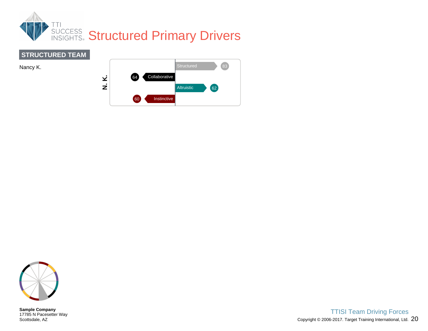







**Sample Company** 17785 N Pacesetter Way Scottsdale, AZ

Copyright © 2006-2017. Target Training International, Ltd.  $\,20\,$ TTISI Team Driving Forces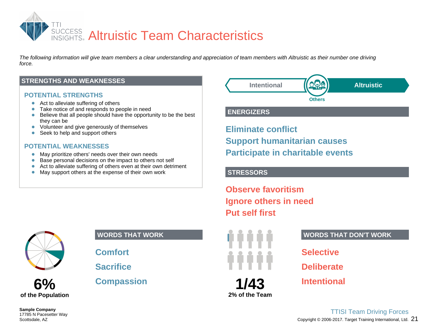

*The following information will give team members a clear understanding and appreciation of team members with Altruistic as their number one driving force.*

### **STRENGTHS AND WEAKNESSES**

### **POTENTIAL STRENGTHS**

- Act to alleviate suffering of others
- Take notice of and responds to people in need
- Believe that all people should have the opportunity to be the best  $\bullet$ they can be
- Volunteer and give generously of themselves
- Seek to help and support others  $\bullet$

### **POTENTIAL WEAKNESSES**

- $\bullet$ May prioritize others' needs over their own needs
- Base personal decisions on the impact to others not self  $\bullet$
- Act to alleviate suffering of others even at their own detriment
- $\bullet$ May support others at the expense of their own work



**6%**

**of the Population**

### **WORDS THAT WORK**

**Comfort**

**Sacrifice**

**Compassion**

**Intentional Altruistic Others**

### **ENERGIZERS**

**Eliminate conflict Support humanitarian causes Participate in charitable events**

### **STRESSORS**

**Observe favoritism Ignore others in need Put self first**



**1/43 2% of the Team**

### **WORDS THAT DON'T WORK**

**Selective**

**Deliberate**

**Intentional**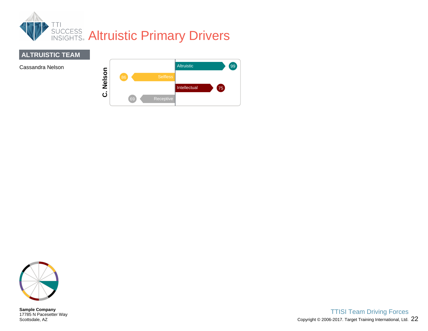

# **ALTRUISTIC TEAM**



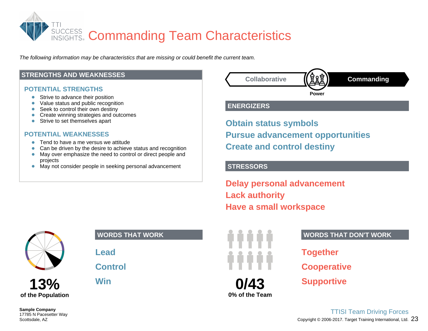

*The following information may be characteristics that are missing or could benefit the current team.*

### **STRENGTHS AND WEAKNESSES**

### **POTENTIAL STRENGTHS**

- $\bullet$ Strive to advance their position
- Value status and public recognition  $\bullet$
- Seek to control their own destiny
- Create winning strategies and outcomes  $\bullet$
- Strive to set themselves apart  $\bullet$

### **POTENTIAL WEAKNESSES**

- Tend to have a me versus we attitude
- $\bullet$ Can be driven by the desire to achieve status and recognition
- May over emphasize the need to control or direct people and  $\bullet$ projects
- May not consider people in seeking personal advancement  $\bullet$



### **ENERGIZERS**

**Obtain status symbols Pursue advancement opportunities Create and control destiny**

### **STRESSORS**

**Delay personal advancement Lack authority Have a small workspace**



**13% of the Population**

### **WORDS THAT WORK**

**Lead**

**Control**

**Win**



### **WORDS THAT DON'T WORK**

**Together Cooperative Supportive**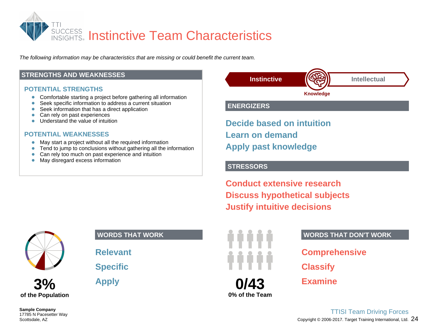

*The following information may be characteristics that are missing or could benefit the current team.*

### **STRENGTHS AND WEAKNESSES**

### **POTENTIAL STRENGTHS**

- $\bullet$ Comfortable starting a project before gathering all information
- Seek specific information to address a current situation  $\bullet$
- Seek information that has a direct application
- Can rely on past experiences  $\bullet$
- Understand the value of intuition  $\bullet$

### **POTENTIAL WEAKNESSES**

- May start a project without all the required information  $\bullet$
- Tend to jump to conclusions without gathering all the information  $\bullet$
- Can rely too much on past experience and intuition  $\bullet$
- May disregard excess information  $\bullet$



### **ENERGIZERS**

**Decide based on intuition Learn on demand Apply past knowledge**

### **STRESSORS**

**Conduct extensive research Discuss hypothetical subjects Justify intuitive decisions**



# **3% of the Population**

### **Sample Company** 17785 N Pacesetter Way Scottsdale, AZ

### **WORDS THAT WORK**

**Relevant**

**Specific**

**Apply**

# **0/43**

**0% of the Team**

### **WORDS THAT DON'T WORK**

**Comprehensive**

**Classify**

**Examine**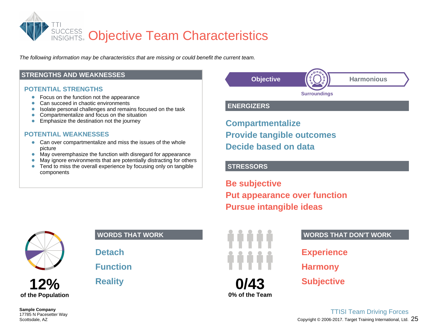

*The following information may be characteristics that are missing or could benefit the current team.*

### **STRENGTHS AND WEAKNESSES**

### **POTENTIAL STRENGTHS**

- $\bullet$ Focus on the function not the appearance
- Can succeed in chaotic environments  $\bullet$
- Isolate personal challenges and remains focused on the task
- Compartmentalize and focus on the situation  $\bullet$
- $\bullet$ Emphasize the destination not the journey

### **POTENTIAL WEAKNESSES**

- Can over compartmentalize and miss the issues of the whole picture
- $\bullet$ May overemphasize the function with disregard for appearance
- May ignore environments that are potentially distracting for others  $\bullet$
- $\bullet$ Tend to miss the overall experience by focusing only on tangible components



# **12% of the Population**

**Sample Company** 17785 N Pacesetter Way Scottsdale, AZ

### **WORDS THAT WORK**

**Detach**

# **Function**

**Reality**



### **ENERGIZERS**

**Compartmentalize Provide tangible outcomes Decide based on data**

### **STRESSORS**

**Be subjective Put appearance over function Pursue intangible ideas**



### **WORDS THAT DON'T WORK**

**Experience Harmony**

**Subjective**

Copyright © 2006-2017. Target Training International, Ltd.  $\,25\,$ TTISI Team Driving Forces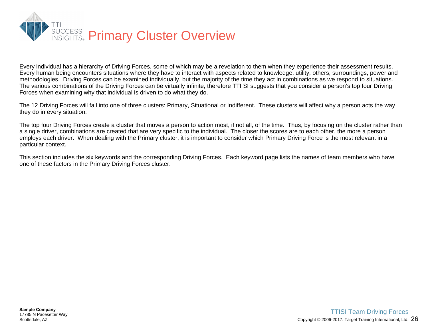

Every individual has a hierarchy of Driving Forces, some of which may be a revelation to them when they experience their assessment results. Every human being encounters situations where they have to interact with aspects related to knowledge, utility, others, surroundings, power and methodologies. Driving Forces can be examined individually, but the majority of the time they act in combinations as we respond to situations. The various combinations of the Driving Forces can be virtually infinite, therefore TTI SI suggests that you consider a person's top four Driving Forces when examining why that individual is driven to do what they do.

The 12 Driving Forces will fall into one of three clusters: Primary, Situational or Indifferent. These clusters will affect why a person acts the way they do in every situation.

The top four Driving Forces create a cluster that moves a person to action most, if not all, of the time. Thus, by focusing on the cluster rather than a single driver, combinations are created that are very specific to the individual. The closer the scores are to each other, the more a person employs each driver. When dealing with the Primary cluster, it is important to consider which Primary Driving Force is the most relevant in a particular context.

This section includes the six keywords and the corresponding Driving Forces. Each keyword page lists the names of team members who have one of these factors in the Primary Driving Forces cluster.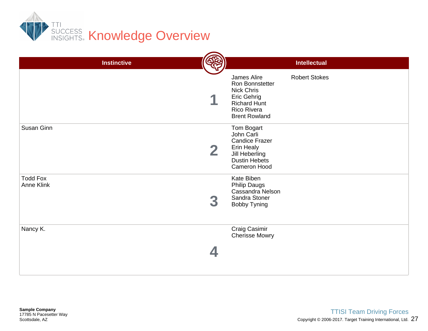

| <b>Instinctive</b>                   |   |                                                                                                                                  | <b>Intellectual</b>  |
|--------------------------------------|---|----------------------------------------------------------------------------------------------------------------------------------|----------------------|
|                                      |   |                                                                                                                                  |                      |
|                                      |   | James Alire<br>Ron Bonnstetter<br>Nick Chris<br>Eric Gehrig<br><b>Richard Hunt</b><br>Rico Rivera<br><b>Brent Rowland</b>        | <b>Robert Stokes</b> |
| Susan Ginn                           | 2 | Tom Bogart<br>John Carli<br><b>Candice Frazer</b><br><b>Erin Healy</b><br>Jill Heberling<br><b>Dustin Hebets</b><br>Cameron Hood |                      |
| <b>Todd Fox</b><br><b>Anne Klink</b> |   | Kate Biben<br><b>Philip Daugs</b><br>Cassandra Nelson<br>Sandra Stoner<br><b>Bobby Tyning</b>                                    |                      |
| Nancy K.                             |   | Craig Casimir<br><b>Cherisse Mowry</b>                                                                                           |                      |
|                                      |   |                                                                                                                                  |                      |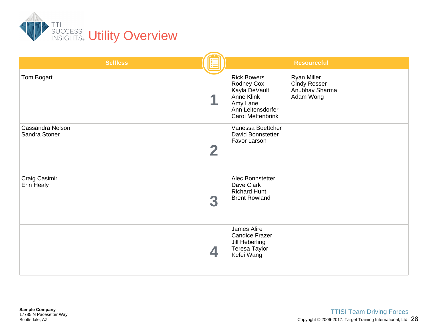

| <b>Selfless</b>                   |                                                                                                                              | <b>Resourceful</b>                                                       |
|-----------------------------------|------------------------------------------------------------------------------------------------------------------------------|--------------------------------------------------------------------------|
| Tom Bogart                        | <b>Rick Bowers</b><br>Rodney Cox<br>Kayla DeVault<br>Anne Klink<br>Amy Lane<br>Ann Leitensdorfer<br><b>Carol Mettenbrink</b> | <b>Ryan Miller</b><br><b>Cindy Rosser</b><br>Anubhav Sharma<br>Adam Wong |
| Cassandra Nelson<br>Sandra Stoner | Vanessa Boettcher<br>David Bonnstetter<br>Favor Larson                                                                       |                                                                          |
| Craig Casimir<br>Erin Healy       | Alec Bonnstetter<br>Dave Clark<br><b>Richard Hunt</b><br><b>Brent Rowland</b>                                                |                                                                          |
|                                   | James Alire<br><b>Candice Frazer</b><br>Jill Heberling<br>Teresa Taylor<br>Kefei Wang                                        |                                                                          |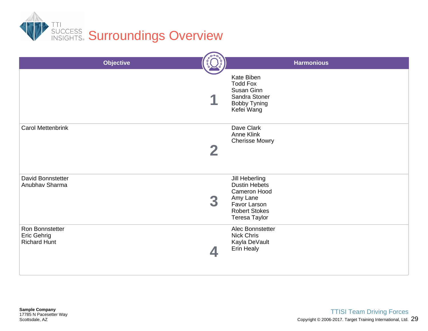

|                                                       | <b>Objective</b> |                                                                                                                             | <b>Harmonious</b> |  |
|-------------------------------------------------------|------------------|-----------------------------------------------------------------------------------------------------------------------------|-------------------|--|
|                                                       |                  | Kate Biben<br><b>Todd Fox</b><br>Susan Ginn<br>Sandra Stoner<br><b>Bobby Tyning</b><br>Kefei Wang                           |                   |  |
| <b>Carol Mettenbrink</b>                              |                  | Dave Clark<br><b>Anne Klink</b><br><b>Cherisse Mowry</b>                                                                    |                   |  |
| David Bonnstetter<br>Anubhav Sharma                   |                  | Jill Heberling<br><b>Dustin Hebets</b><br>Cameron Hood<br>Amy Lane<br>Favor Larson<br><b>Robert Stokes</b><br>Teresa Taylor |                   |  |
| Ron Bonnstetter<br>Eric Gehrig<br><b>Richard Hunt</b> |                  | Alec Bonnstetter<br><b>Nick Chris</b><br>Kayla DeVault<br>Erin Healy                                                        |                   |  |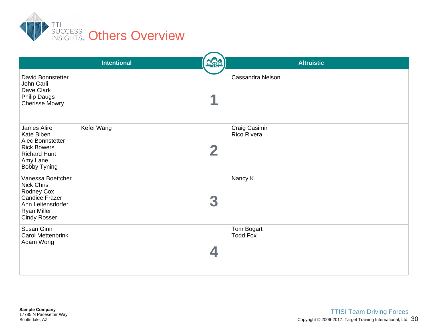

|                                                                                                                                          | <b>Intentional</b> | 000 | <b>Altruistic</b>             |
|------------------------------------------------------------------------------------------------------------------------------------------|--------------------|-----|-------------------------------|
| <b>David Bonnstetter</b><br>John Carli<br>Dave Clark<br><b>Philip Daugs</b><br><b>Cherisse Mowry</b>                                     |                    |     | <b>Cassandra Nelson</b>       |
| James Alire<br>Kate Biben<br>Alec Bonnstetter<br><b>Rick Bowers</b><br><b>Richard Hunt</b><br>Amy Lane<br><b>Bobby Tyning</b>            | Kefei Wang         |     | Craig Casimir<br>Rico Rivera  |
| Vanessa Boettcher<br><b>Nick Chris</b><br>Rodney Cox<br>Candice Frazer<br>Ann Leitensdorfer<br><b>Ryan Miller</b><br><b>Cindy Rosser</b> |                    |     | Nancy K.                      |
| Susan Ginn<br><b>Carol Mettenbrink</b><br>Adam Wong                                                                                      |                    |     | Tom Bogart<br><b>Todd Fox</b> |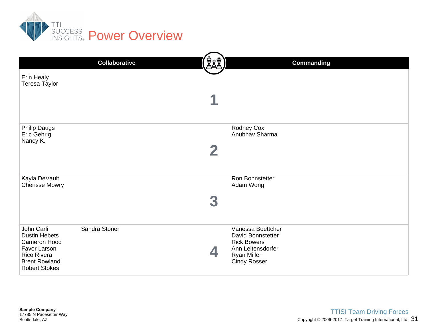

| Erin Healy<br>Teresa Taylor                                                                                                       | <b>Collaborative</b> | <b>Commanding</b>                                                                                                              |
|-----------------------------------------------------------------------------------------------------------------------------------|----------------------|--------------------------------------------------------------------------------------------------------------------------------|
|                                                                                                                                   |                      |                                                                                                                                |
| <b>Philip Daugs</b><br>Eric Gehrig<br>Nancy K.                                                                                    |                      | Rodney Cox<br>Anubhav Sharma                                                                                                   |
| Kayla DeVault<br><b>Cherisse Mowry</b>                                                                                            |                      | Ron Bonnstetter<br>Adam Wong                                                                                                   |
| John Carli<br><b>Dustin Hebets</b><br>Cameron Hood<br>Favor Larson<br>Rico Rivera<br><b>Brent Rowland</b><br><b>Robert Stokes</b> | Sandra Stoner        | Vanessa Boettcher<br>David Bonnstetter<br><b>Rick Bowers</b><br>Ann Leitensdorfer<br><b>Ryan Miller</b><br><b>Cindy Rosser</b> |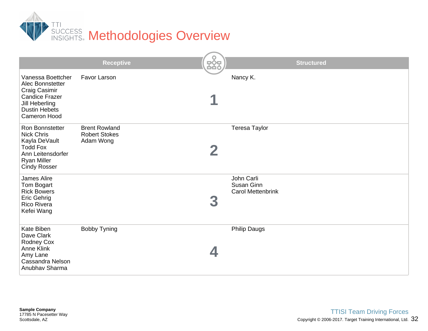

|                                                                                                                                            | <b>Receptive</b>                                          | <b>Structured</b>                                    |
|--------------------------------------------------------------------------------------------------------------------------------------------|-----------------------------------------------------------|------------------------------------------------------|
| Vanessa Boettcher<br>Alec Bonnstetter<br>Craig Casimir<br><b>Candice Frazer</b><br>Jill Heberling<br><b>Dustin Hebets</b><br>Cameron Hood  | <b>Favor Larson</b>                                       | Nancy K.                                             |
| Ron Bonnstetter<br><b>Nick Chris</b><br>Kayla DeVault<br><b>Todd Fox</b><br>Ann Leitensdorfer<br><b>Ryan Miller</b><br><b>Cindy Rosser</b> | <b>Brent Rowland</b><br><b>Robert Stokes</b><br>Adam Wong | <b>Teresa Taylor</b>                                 |
| James Alire<br>Tom Bogart<br><b>Rick Bowers</b><br><b>Eric Gehrig</b><br><b>Rico Rivera</b><br>Kefei Wang                                  |                                                           | John Carli<br>Susan Ginn<br><b>Carol Mettenbrink</b> |
| Kate Biben<br>Dave Clark<br><b>Rodney Cox</b><br><b>Anne Klink</b><br>Amy Lane<br>Cassandra Nelson<br>Anubhav Sharma                       | <b>Bobby Tyning</b>                                       | <b>Philip Daugs</b>                                  |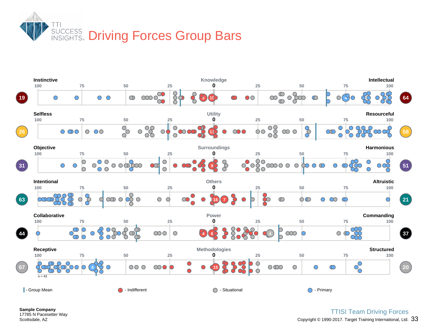

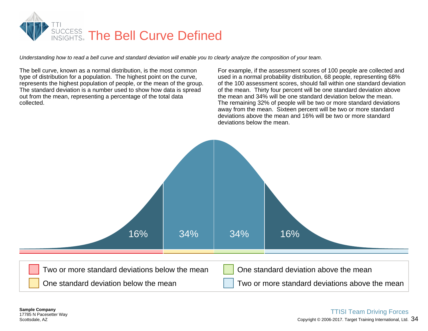

*Understanding how to read a bell curve and standard deviation will enable you to clearly analyze the composition of your team.*

The bell curve, known as a normal distribution, is the most common type of distribution for a population. The highest point on the curve, represents the highest population of people, or the mean of the group. The standard deviation is a number used to show how data is spread out from the mean, representing a percentage of the total data collected.

For example, if the assessment scores of 100 people are collected and used in a normal probability distribution, 68 people, representing 68% of the 100 assessment scores, should fall within one standard deviation of the mean. Thirty four percent will be one standard deviation above the mean and 34% will be one standard deviation below the mean. The remaining 32% of people will be two or more standard deviations away from the mean. Sixteen percent will be two or more standard deviations above the mean and 16% will be two or more standard deviations below the mean.

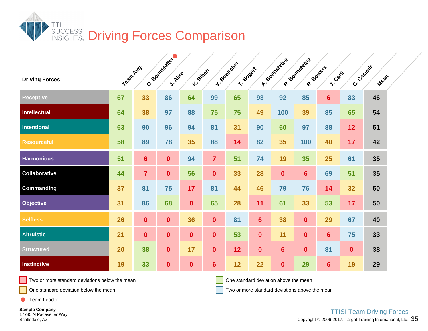

| <b>Driving Forces</b> | Team Avg. |                | O. Bonnesdreter<br>J. Aire | K-Biber      |                  | J. Boatcher<br>T- BoostL |                | A-Somtageted   | R- Bonnesterter<br>R-Soulers | <b>S.Carli</b> | C. Casimir   | Mean |  |
|-----------------------|-----------|----------------|----------------------------|--------------|------------------|--------------------------|----------------|----------------|------------------------------|----------------|--------------|------|--|
| <b>Receptive</b>      | 67        | 33             | 86                         | 64           | 99               | 65                       | 93             | 92             | 85                           | $6\phantom{1}$ | 83           | 46   |  |
| <b>Intellectual</b>   | 64        | 38             | 97                         | 88           | 75               | 75                       | 49             | 100            | 39                           | 85             | 65           | 54   |  |
| Intentional           | 63        | 90             | 96                         | 94           | 81               | 31                       | 90             | 60             | 97                           | 88             | 12           | 51   |  |
| <b>Resourceful</b>    | 58        | 89             | 78                         | 35           | 88               | 14                       | 82             | 35             | 100                          | 40             | 17           | 42   |  |
| <b>Harmonious</b>     | 51        | $6\phantom{1}$ | $\mathbf{0}$               | 94           | $\overline{7}$   | 51                       | 74             | 19             | 35                           | 25             | 61           | 35   |  |
| <b>Collaborative</b>  | 44        | $\overline{7}$ | $\mathbf{0}$               | 56           | $\mathbf{0}$     | 33                       | 28             | $\mathbf 0$    | $6\phantom{a}$               | 69             | 51           | 35   |  |
| <b>Commanding</b>     | 37        | 81             | 75                         | 17           | 81               | 44                       | 46             | 79             | 76                           | 14             | 32           | 50   |  |
| <b>Objective</b>      | 31        | 86             | 68                         | $\mathbf{0}$ | 65               | 28                       | 11             | 61             | 33                           | 53             | 17           | 50   |  |
| <b>Selfless</b>       | 26        | $\mathbf{0}$   | $\mathbf{0}$               | 36           | $\mathbf{0}$     | 81                       | $6\phantom{a}$ | 38             | $\mathbf{0}$                 | 29             | 67           | 40   |  |
| <b>Altruistic</b>     | 21        | $\mathbf{0}$   | $\boldsymbol{0}$           | $\mathbf{0}$ | $\mathbf{0}$     | 53                       | $\mathbf{0}$   | 11             | $\mathbf{0}$                 | 6              | 75           | 33   |  |
| <b>Structured</b>     | 20        | 38             | $\mathbf{0}$               | 17           | $\boldsymbol{0}$ | 12                       | $\mathbf{0}$   | $6\phantom{a}$ | $\mathbf{0}$                 | 81             | $\mathbf{0}$ | 38   |  |
| <b>Instinctive</b>    | 19        | 33             | $\boldsymbol{0}$           | $\mathbf 0$  | $6\phantom{1}$   | 12                       | 22             | $\mathbf 0$    | 29                           | $6\phantom{1}$ | 19           | 29   |  |

One standard deviation above the mean

One standard deviation below the mean

Two or more standard deviations above the mean

Team Leader

**Sample Company** 17785 N Pacesetter Way Scottsdale, AZ

Copyright © 2006-2017. Target Training International, Ltd.  $\,35\,$ TTISI Team Driving Forces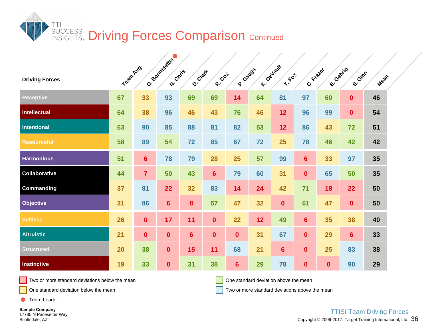

| <b>Driving Forces</b> | Team Avg. |                | O. Bonnesetter<br><b>A</b> : Chris | O. Clark       | R-COT          | P. Davas       |                 | K-Devisure<br>$x \cdot 6$ | C. Frater        | E-Canrig     | S. Gimn        | Mean |  |
|-----------------------|-----------|----------------|------------------------------------|----------------|----------------|----------------|-----------------|---------------------------|------------------|--------------|----------------|------|--|
| <b>Receptive</b>      | 67        | 33             | 93                                 | 69             | 69             | 14             | 64              | 81                        | 97               | 60           | $\mathbf{0}$   | 46   |  |
| <b>Intellectual</b>   | 64        | 38             | 96                                 | 46             | 43             | 76             | 46              | 12                        | 96               | 99           | $\mathbf{0}$   | 54   |  |
| <b>Intentional</b>    | 63        | 90             | 85                                 | 88             | 81             | 82             | 53              | 12                        | 86               | 43           | 72             | 51   |  |
| <b>Resourceful</b>    | 58        | 89             | 54                                 | 72             | 85             | 67             | 72              | 25                        | 78               | 46           | 42             | 42   |  |
| <b>Harmonious</b>     | 51        | $6\phantom{a}$ | 78                                 | 79             | 28             | 25             | 57              | 99                        | $6\phantom{a}$   | 33           | 97             | 35   |  |
| Collaborative         | 44        | $\overline{7}$ | 50                                 | 43             | $6\phantom{1}$ | 79             | 60              | 31                        | $\mathbf{0}$     | 65           | 50             | 35   |  |
| <b>Commanding</b>     | 37        | 81             | 22                                 | 32             | 83             | 14             | 24              | 42                        | 71               | 18           | 22             | 50   |  |
| <b>Objective</b>      | 31        | 86             | $6\phantom{1}$                     | 8              | 57             | 47             | 32              | $\mathbf{0}$              | 61               | 47           | $\mathbf{0}$   | 50   |  |
| <b>Selfless</b>       | 26        | $\mathbf{0}$   | 17                                 | 11             | $\mathbf{0}$   | 22             | 12 <sub>2</sub> | 49                        | $6\phantom{a}$   | 35           | 38             | 40   |  |
| <b>Altruistic</b>     | 21        | $\mathbf{0}$   | $\mathbf{0}$                       | $6\phantom{1}$ | $\mathbf{0}$   | $\mathbf{0}$   | 31              | 67                        | $\bf{0}$         | 29           | $6\phantom{a}$ | 33   |  |
| <b>Structured</b>     | 20        | 38             | $\mathbf{0}$                       | 15             | 11             | 68             | 21              | $6\phantom{a}$            | $\mathbf 0$      | 25           | 83             | 38   |  |
| <b>Instinctive</b>    | 19        | 33             | $\mathbf{0}$                       | 31             | 38             | $6\phantom{1}$ | 29              | 78                        | $\boldsymbol{0}$ | $\mathbf{0}$ | 90             | 29   |  |

One standard deviation above the mean

One standard deviation below the mean

Two or more standard deviations above the mean

Team Leader

**Sample Company** 17785 N Pacesetter Way Scottsdale, AZ

Copyright © 2006-2017. Target Training International, Ltd.  $36$ TTISI Team Driving Forces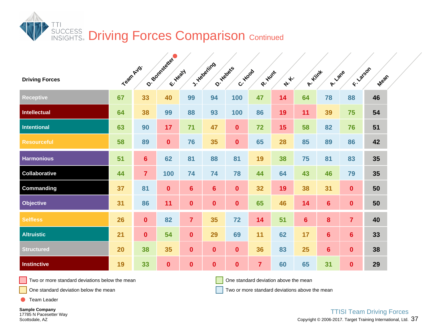

| <b>Driving Forces</b> | Team Avg. |                | O. Bonnesetter<br>Er Healt |                  | J. Hebering<br>O. Habets | C. Hood          | R. Hunt        | A. | A- Hint        | A-Lane         | F - Latson     | Mean |  |
|-----------------------|-----------|----------------|----------------------------|------------------|--------------------------|------------------|----------------|----|----------------|----------------|----------------|------|--|
| <b>Receptive</b>      | 67        | 33             | 40                         | 99               | 94                       | 100              | 47             | 14 | 64             | 78             | 88             | 46   |  |
| Intellectual          | 64        | 38             | 99                         | 88               | 93                       | 100              | 86             | 19 | 11             | 39             | 75             | 54   |  |
| <b>Intentional</b>    | 63        | 90             | 17                         | 71               | 47                       | $\mathbf{0}$     | 72             | 15 | 58             | 82             | 76             | 51   |  |
| <b>Resourceful</b>    | 58        | 89             | $\mathbf 0$                | 76               | 35                       | $\boldsymbol{0}$ | 65             | 28 | 85             | 89             | 86             | 42   |  |
| <b>Harmonious</b>     | 51        | $6\phantom{a}$ | 62                         | 81               | 88                       | 81               | 19             | 38 | 75             | 81             | 83             | 35   |  |
| Collaborative         | 44        | $\overline{7}$ | 100                        | 74               | 74                       | 78               | 44             | 64 | 43             | 46             | 79             | 35   |  |
| Commanding            | 37        | 81             | $\mathbf{0}$               | $6\phantom{a}$   | 6 <sup>1</sup>           | $\mathbf{0}$     | 32             | 19 | 38             | 31             | $\mathbf{0}$   | 50   |  |
| Objective             | 31        | 86             | 11                         | $\mathbf{0}$     | $\mathbf{0}$             | $\mathbf{0}$     | 65             | 46 | 14             | $6\phantom{1}$ | $\mathbf{0}$   | 50   |  |
| <b>Selfless</b>       | 26        | $\mathbf{0}$   | 82                         | $\overline{7}$   | 35                       | 72               | 14             | 51 | $6\phantom{a}$ | 8              | $\overline{7}$ | 40   |  |
| <b>Altruistic</b>     | 21        | $\mathbf 0$    | 54                         | $\mathbf 0$      | 29                       | 69               | 11             | 62 | 17             | $6\phantom{1}$ | $6\phantom{a}$ | 33   |  |
| <b>Structured</b>     | 20        | 38             | 35                         | $\mathbf 0$      | $\mathbf{0}$             | $\mathbf{0}$     | 36             | 83 | 25             | $6\phantom{a}$ | $\mathbf{0}$   | 38   |  |
| <b>Instinctive</b>    | 19        | 33             | $\mathbf{0}$               | $\boldsymbol{0}$ | $\mathbf{0}$             | $\mathbf{0}$     | $\overline{7}$ | 60 | 65             | 31             | $\mathbf{0}$   | 29   |  |

One standard deviation above the mean

One standard deviation below the mean

Two or more standard deviations above the mean

Team Leader

**Sample Company** 17785 N Pacesetter Way Scottsdale, AZ

Copyright  $@$  2006-2017. Target Training International, Ltd.  $~37$ TTISI Team Driving Forces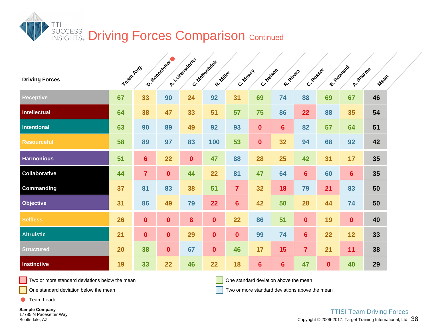

| <b>Driving Forces</b> | Team Avg. |                | O. Bonnaguera | A. Yellensdorfer | C. Mexicannin<br>R. Miller | C. Moury         | C. Neveon      | R. Rivera      | C. Rosser      | B- Rowland       | A. Sharma      | Mean |  |
|-----------------------|-----------|----------------|---------------|------------------|----------------------------|------------------|----------------|----------------|----------------|------------------|----------------|------|--|
| <b>Receptive</b>      | 67        | 33             | 90            | 24               | 92                         | 31               | 69             | 74             | 88             | 69               | 67             | 46   |  |
| Intellectual          | 64        | 38             | 47            | 33               | 51                         | 57               | 75             | 86             | 22             | 88               | 35             | 54   |  |
| <b>Intentional</b>    | 63        | 90             | 89            | 49               | 92                         | 93               | $\mathbf{0}$   | 6 <sup>1</sup> | 82             | 57               | 64             | 51   |  |
| <b>Resourceful</b>    | 58        | 89             | 97            | 83               | 100                        | 53               | $\mathbf{0}$   | 32             | 94             | 68               | 92             | 42   |  |
| <b>Harmonious</b>     | 51        | $6\phantom{a}$ | 22            | $\mathbf 0$      | 47                         | 88               | 28             | 25             | 42             | 31               | 17             | 35   |  |
| <b>Collaborative</b>  | 44        | $\overline{7}$ | $\mathbf{0}$  | 44               | 22                         | 81               | 47             | 64             | $6\phantom{a}$ | 60               | $6\phantom{1}$ | 35   |  |
| <b>Commanding</b>     | 37        | 81             | 83            | 38               | 51                         | $\overline{7}$   | 32             | 18             | 79             | 21               | 83             | 50   |  |
| Objective             | 31        | 86             | 49            | 79               | 22                         | $6\phantom{1}$   | 42             | 50             | 28             | 44               | 74             | 50   |  |
| <b>Selfless</b>       | 26        | $\mathbf{0}$   | $\bf{0}$      | $\boldsymbol{8}$ | $\mathbf{0}$               | 22               | 86             | 51             | $\mathbf{0}$   | 19               | $\mathbf{0}$   | 40   |  |
| <b>Altruistic</b>     | 21        | $\mathbf{0}$   | $\mathbf 0$   | 29               | $\mathbf{0}$               | $\boldsymbol{0}$ | 99             | 74             | $6\phantom{a}$ | 22               | 12             | 33   |  |
| <b>Structured</b>     | 20        | 38             | $\mathbf{0}$  | 67               | $\mathbf{0}$               | 46               | 17             | 15             | $\overline{7}$ | 21               | 11             | 38   |  |
| <b>Instinctive</b>    | 19        | 33             | 22            | 46               | 22                         | 18               | $6\phantom{1}$ | $6\phantom{a}$ | 47             | $\boldsymbol{0}$ | 40             | 29   |  |

One standard deviation above the mean

One standard deviation below the mean

Two or more standard deviations above the mean

Team Leader

**Sample Company** 17785 N Pacesetter Way Scottsdale, AZ

Copyright © 2006-2017. Target Training International, Ltd.  $38$ TTISI Team Driving Forces